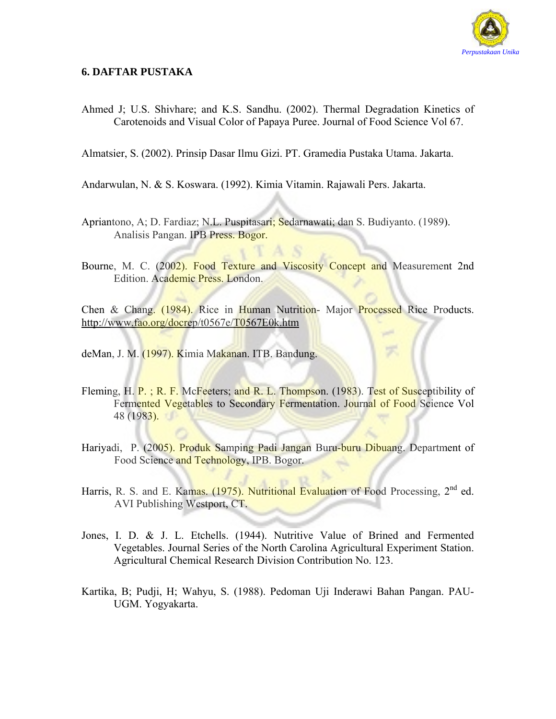

## **6. DAFTAR PUSTAKA**

Ahmed J; U.S. Shivhare; and K.S. Sandhu. (2002). Thermal Degradation Kinetics of Carotenoids and Visual Color of Papaya Puree. Journal of Food Science Vol 67.

Almatsier, S. (2002). Prinsip Dasar Ilmu Gizi. PT. Gramedia Pustaka Utama. Jakarta.

Andarwulan, N. & S. Koswara. (1992). Kimia Vitamin. Rajawali Pers. Jakarta.

- Apriantono, A; D. Fardiaz; N.L. Puspitasari; Sedarnawati; dan S. Budiyanto. (1989). Analisis Pangan. IPB Press. Bogor.
- Bourne, M. C. (2002). Food Texture and Viscosity Concept and Measurement 2nd Edition. Academic Press. London.

Chen & Chang. (1984). Rice in Human Nutrition- Major Processed Rice Products. http://www.fao.org/docrep/t0567e/T0567E0k.htm

- deMan, J. M. (1997). Kimia Makanan. ITB. Bandung.
- Fleming, H. P.; R. F. McFeeters; and R. L. Thompson. (1983). Test of Susceptibility of Fermented Vegetables to Secondary Fermentation. Journal of Food Science Vol 48 (1983).
- Hariyadi, P. (2005). Produk Samping Padi Jangan Buru-buru Dibuang. Department of Food Science and Technology, IPB. Bogor.
- Harris, R. S. and E. Kamas. (1975). Nutritional Evaluation of Food Processing, 2<sup>nd</sup> ed. AVI Publishing Westport, CT.
- Jones, I. D. & J. L. Etchells. (1944). Nutritive Value of Brined and Fermented Agricultural Chemical Research Division Contribution No. 123. Vegetables. Journal Series of the North Carolina Agricultural Experiment Station.
- Kartika, B; Pudji, H; Wahyu, S. (1988). Pedoman Uji Inderawi Bahan Pangan. PAU-UGM. Yogyakarta.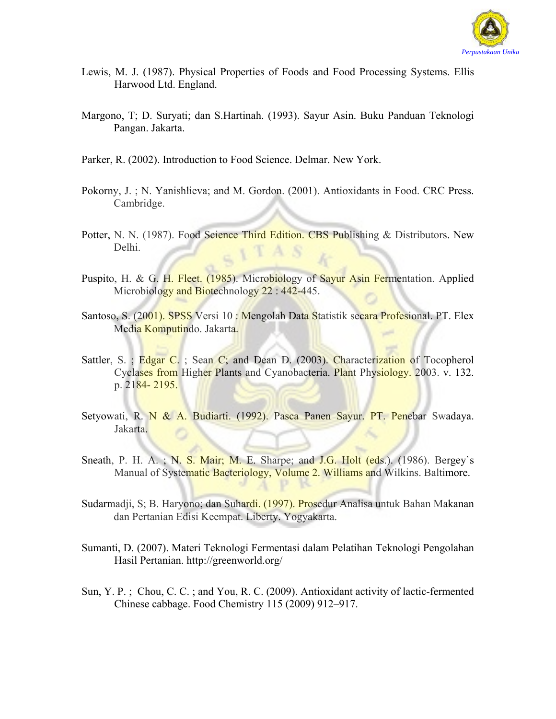

- Lewis, M. J. (1987). Physical Properties of Foods and Food Processing Systems. Ellis Harwood Ltd. England.
- Margono, T; D. Suryati; dan S.Hartinah. (1993). Sayur Asin. Buku Panduan Teknologi Pangan. Jakarta.
- Parker, R. (2002). Introduction to Food Science. Delmar. New York.
- Pokorny, J.; N. Yanishlieva; and M. Gordon. (2001). Antioxidants in Food. CRC Press. Cambridge.
- Potter, N. N. (1987). Food Science Third Edition. CBS Publishing & Distributors. New Delhi.
- Puspito, H. & G. H. Fleet. (1985). Microbiology of Sayur Asin Fermentation. Applied Microbiology and Biotechnology 22:442-445.
- Santoso, S. (2001). SPSS Versi 10 : Mengolah Data Statistik secara Profesional. PT. Elex Media Komputindo. Jakarta.
- Sattler, S. ; Edgar C. ; Sean C; and Dean D. (2003). Characterization of Tocopherol Cyclases from Higher Plants and Cyanobacteria. Plant Physiology. 2003. v. 132. p. 2184- 2195.
- Setyowati, R. N & A. Budiarti. (1992). Pasca Panen Sayur. PT. Penebar Swadaya. Jakarta.
- Sneath, P. H. A. ; N. S. Mair; M. E. Sharpe; and J.G. Holt (eds.). (1986). Bergey's Manual of Systematic Bacteriology, Volume 2. Williams and Wilkins. Baltimore.
- Sudarmadji, S; B. Haryono; dan Suhardi. (1997). Prosedur Analisa untuk Bahan Makanan dan Pertanian Edisi Keempat. Liberty. Yogyakarta.
- Sumanti, D. (2007). Materi Teknologi Fermentasi dalam Pelatihan Teknologi Pengolahan Hasil Pertanian. http://greenworld.org/
- Sun, Y. P. ; Chou, C. C. ; and You, R. C. (2009). Antioxidant activity of lactic-fermented Chinese cabbage. Food Chemistry 115 (2009) 912–917.